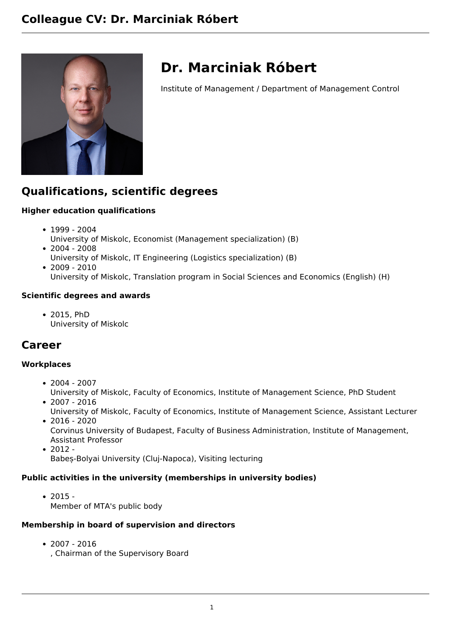

# **Dr. Marciniak Róbert**

Institute of Management / Department of Management Control

## **Qualifications, scientific degrees**

### **Higher education qualifications**

- $1999 2004$ 
	- University of Miskolc, Economist (Management specialization) (B)
- $2004 2008$ University of Miskolc, IT Engineering (Logistics specialization) (B)
- 2009 2010 University of Miskolc, Translation program in Social Sciences and Economics (English) (H)

### **Scientific degrees and awards**

2015, PhD University of Miskolc

### **Career**

### **Workplaces**

- $2004 2007$ 
	- University of Miskolc, Faculty of Economics, Institute of Management Science, PhD Student
- 2007 2016
- University of Miskolc, Faculty of Economics, Institute of Management Science, Assistant Lecturer  $• 2016 - 2020$

Corvinus University of Budapest, Faculty of Business Administration, Institute of Management, Assistant Professor

 $• 2012 -$ Babeș-Bolyai University (Cluj-Napoca), Visiting lecturing

### **Public activities in the university (memberships in university bodies)**

 $• 2015 -$ Member of MTA's public body

### **Membership in board of supervision and directors**

 $• 2007 - 2016$ , Chairman of the Supervisory Board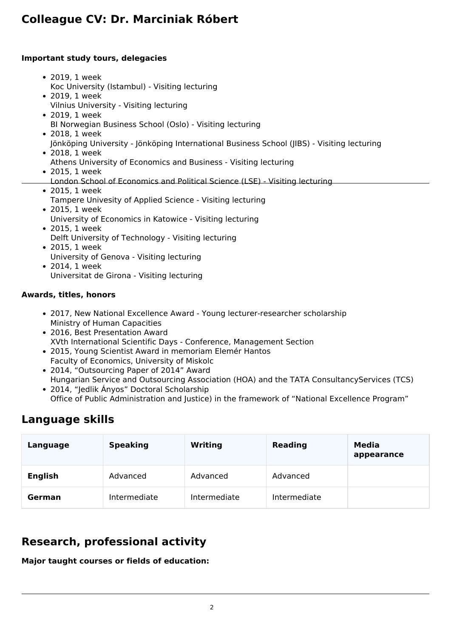## **Colleague CV: Dr. Marciniak Róbert**

### **Important study tours, delegacies**

- 2019, 1 week Koc University (Istambul) - Visiting lecturing 2019, 1 week
- Vilnius University Visiting lecturing
- 2019, 1 week BI Norwegian Business School (Oslo) - Visiting lecturing
- 2018, 1 week
- Jönköping University Jönköping International Business School (JIBS) Visiting lecturing
- 2018, 1 week
- Athens University of Economics and Business Visiting lecturing
- 2015, 1 week
- London School of Economics and Political Science (LSE) Visiting lecturing
- 2015, 1 week Tampere Univesity of Applied Science - Visiting lecturing
- 2015, 1 week University of Economics in Katowice - Visiting lecturing
- 2015, 1 week Delft University of Technology - Visiting lecturing
- 2015, 1 week University of Genova - Visiting lecturing
- 2014, 1 week Universitat de Girona - Visiting lecturing

### **Awards, titles, honors**

- 2017, New National Excellence Award Young lecturer-researcher scholarship Ministry of Human Capacities
- 2016, Best Presentation Award XVth International Scientific Days - Conference, Management Section
- 2015, Young Scientist Award in memoriam Elemér Hantos Faculty of Economics, University of Miskolc
- 2014, "Outsourcing Paper of 2014" Award Hungarian Service and Outsourcing Association (HOA) and the TATA ConsultancyServices (TCS)
- 2014, "Jedlik Ányos" Doctoral Scholarship Office of Public Administration and Justice) in the framework of "National Excellence Program"

### **Language skills**

| Language       | <b>Speaking</b> | <b>Writing</b> | <b>Reading</b> | Media<br>appearance |
|----------------|-----------------|----------------|----------------|---------------------|
| <b>English</b> | Advanced        | Advanced       | Advanced       |                     |
| German         | Intermediate    | Intermediate   | Intermediate   |                     |

## **Research, professional activity**

**Major taught courses or fields of education:**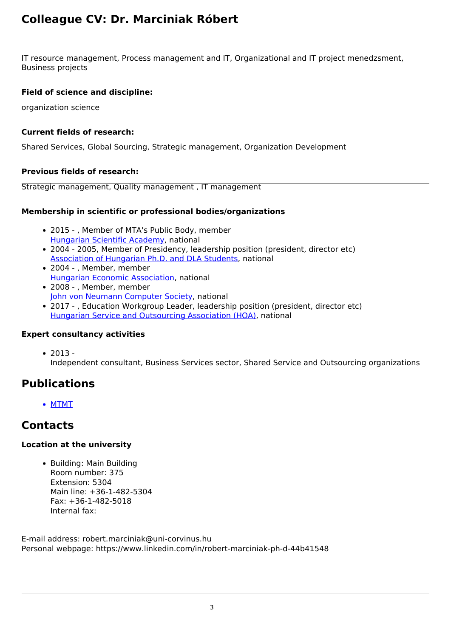## **Colleague CV: Dr. Marciniak Róbert**

IT resource management, Process management and IT, Organizational and IT project menedzsment, Business projects

#### **Field of science and discipline:**

organization science

#### **Current fields of research:**

Shared Services, Global Sourcing, Strategic management, Organization Development

#### **Previous fields of research:**

Strategic management, Quality management , IT management

#### **Membership in scientific or professional bodies/organizations**

- 2015 , Member of MTA's Public Body, member [Hungarian Scientific Academy](https://mta.hu/), national
- 2004 2005, Member of Presidency, leadership position (president, director etc) [Association of Hungarian Ph.D. and DLA Students](http://www.dosz.hu/), national
- 2004 , Member, member [Hungarian Economic Association](https://www.mkt.hu/hu/), national
- 2008 , Member, member [John von Neumann Computer Society](https://njszt.hu/), national
- 2017 , Education Workgroup Leader, leadership position (president, director etc) [Hungarian Service and Outsourcing Association \(HOA\)](www.hoa.hu), national

### **Expert consultancy activities**

 $• 2013 -$ 

Independent consultant, Business Services sector, Shared Service and Outsourcing organizations

### **Publications**

[MTMT](https://m2.mtmt.hu/gui2/?type=authors&mode=browse&sel=10022123)

### **Contacts**

### **Location at the university**

• Building: Main Building Room number: 375 Extension: 5304 Main line: +36-1-482-5304 Fax: +36-1-482-5018 Internal fax:

E-mail address: robert.marciniak@uni-corvinus.hu Personal webpage: https://www.linkedin.com/in/robert-marciniak-ph-d-44b41548